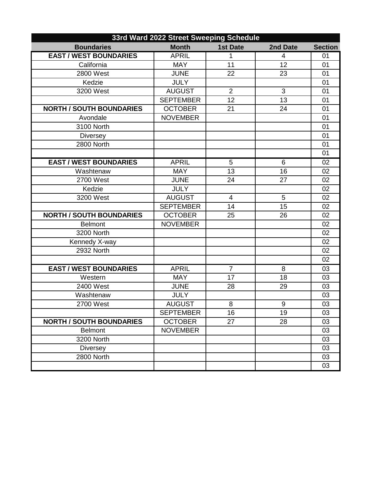| 33rd Ward 2022 Street Sweeping Schedule |                  |                 |                 |                |
|-----------------------------------------|------------------|-----------------|-----------------|----------------|
| <b>Boundaries</b>                       | <b>Month</b>     | <b>1st Date</b> | 2nd Date        | <b>Section</b> |
| <b>EAST / WEST BOUNDARIES</b>           | <b>APRIL</b>     | 1               | 4               | 01             |
| California                              | <b>MAY</b>       | 11              | $\overline{12}$ | 01             |
| 2800 West                               | <b>JUNE</b>      | 22              | 23              | 01             |
| Kedzie                                  | <b>JULY</b>      |                 |                 | 01             |
| 3200 West                               | <b>AUGUST</b>    | $\overline{2}$  | 3               | 01             |
|                                         | <b>SEPTEMBER</b> | 12              | 13              | 01             |
| <b>NORTH / SOUTH BOUNDARIES</b>         | <b>OCTOBER</b>   | 21              | 24              | 01             |
| Avondale                                | <b>NOVEMBER</b>  |                 |                 | 01             |
| 3100 North                              |                  |                 |                 | 01             |
| <b>Diversey</b>                         |                  |                 |                 | 01             |
| 2800 North                              |                  |                 |                 | 01             |
|                                         |                  |                 |                 | 01             |
| <b>EAST / WEST BOUNDARIES</b>           | <b>APRIL</b>     | 5               | 6               | 02             |
| Washtenaw                               | <b>MAY</b>       | 13              | 16              | 02             |
| 2700 West                               | <b>JUNE</b>      | 24              | 27              | 02             |
| Kedzie                                  | <b>JULY</b>      |                 |                 | 02             |
| 3200 West                               | <b>AUGUST</b>    | $\overline{4}$  | 5               | 02             |
|                                         | <b>SEPTEMBER</b> | 14              | 15              | 02             |
| <b>NORTH / SOUTH BOUNDARIES</b>         | <b>OCTOBER</b>   | 25              | 26              | 02             |
| <b>Belmont</b>                          | <b>NOVEMBER</b>  |                 |                 | 02             |
| 3200 North                              |                  |                 |                 | 02             |
| Kennedy X-way                           |                  |                 |                 | 02             |
| 2932 North                              |                  |                 |                 | 02             |
|                                         |                  |                 |                 | 02             |
| <b>EAST / WEST BOUNDARIES</b>           | <b>APRIL</b>     | $\overline{7}$  | 8               | 03             |
| Western                                 | <b>MAY</b>       | 17              | 18              | 03             |
| 2400 West                               | <b>JUNE</b>      | 28              | 29              | 03             |
| Washtenaw                               | <b>JULY</b>      |                 |                 | 03             |
| 2700 West                               | <b>AUGUST</b>    | 8               | 9               | 03             |
|                                         | <b>SEPTEMBER</b> | 16              | 19              | 03             |
| <b>NORTH / SOUTH BOUNDARIES</b>         | <b>OCTOBER</b>   | 27              | 28              | 03             |
| <b>Belmont</b>                          | <b>NOVEMBER</b>  |                 |                 | 03             |
| 3200 North                              |                  |                 |                 | 03             |
| <b>Diversey</b>                         |                  |                 |                 | 03             |
| 2800 North                              |                  |                 |                 | 03             |
|                                         |                  |                 |                 | 03             |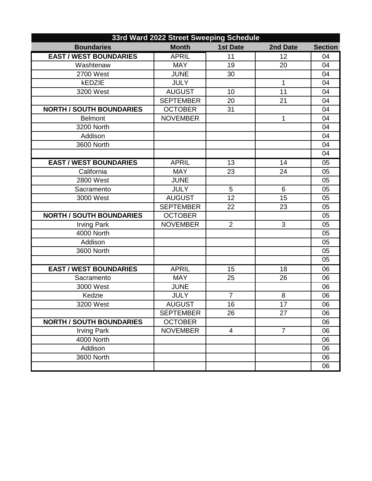| 33rd Ward 2022 Street Sweeping Schedule |                  |                 |                |                |
|-----------------------------------------|------------------|-----------------|----------------|----------------|
| <b>Boundaries</b>                       | <b>Month</b>     | <b>1st Date</b> | 2nd Date       | <b>Section</b> |
| <b>EAST / WEST BOUNDARIES</b>           | <b>APRIL</b>     | 11              | 12             | 04             |
| Washtenaw                               | <b>MAY</b>       | 19              | 20             | 04             |
| 2700 West                               | <b>JUNE</b>      | 30              |                | 04             |
| kEDZIE                                  | <b>JULY</b>      |                 | 1              | 04             |
| 3200 West                               | <b>AUGUST</b>    | 10              | 11             | 04             |
|                                         | <b>SEPTEMBER</b> | 20              | 21             | 04             |
| <b>NORTH / SOUTH BOUNDARIES</b>         | <b>OCTOBER</b>   | 31              |                | 04             |
| <b>Belmont</b>                          | <b>NOVEMBER</b>  |                 | $\mathbf{1}$   | 04             |
| 3200 North                              |                  |                 |                | 04             |
| Addison                                 |                  |                 |                | 04             |
| 3600 North                              |                  |                 |                | 04             |
|                                         |                  |                 |                | 04             |
| <b>EAST / WEST BOUNDARIES</b>           | <b>APRIL</b>     | 13              | 14             | 05             |
| California                              | <b>MAY</b>       | 23              | 24             | 05             |
| 2800 West                               | <b>JUNE</b>      |                 |                | 05             |
| Sacramento                              | <b>JULY</b>      | 5               | $6\phantom{1}$ | 05             |
| 3000 West                               | <b>AUGUST</b>    | 12              | 15             | 05             |
|                                         | <b>SEPTEMBER</b> | 22              | 23             | 05             |
| <b>NORTH / SOUTH BOUNDARIES</b>         | <b>OCTOBER</b>   |                 |                | 05             |
| <b>Irving Park</b>                      | <b>NOVEMBER</b>  | $\overline{2}$  | 3              | 05             |
| 4000 North                              |                  |                 |                | 05             |
| Addison                                 |                  |                 |                | 05             |
| 3600 North                              |                  |                 |                | 05             |
|                                         |                  |                 |                | 05             |
| <b>EAST / WEST BOUNDARIES</b>           | <b>APRIL</b>     | 15              | 18             | 06             |
| Sacramento                              | <b>MAY</b>       | 25              | 26             | 06             |
| 3000 West                               | <b>JUNE</b>      |                 |                | 06             |
| Kedzie                                  | <b>JULY</b>      | $\overline{7}$  | 8              | 06             |
| 3200 West                               | <b>AUGUST</b>    | 16              | 17             | 06             |
|                                         | <b>SEPTEMBER</b> | 26              | 27             | 06             |
| <b>NORTH / SOUTH BOUNDARIES</b>         | <b>OCTOBER</b>   |                 |                | 06             |
| <b>Irving Park</b>                      | <b>NOVEMBER</b>  | 4               | $\overline{7}$ | 06             |
| 4000 North                              |                  |                 |                | 06             |
| Addison                                 |                  |                 |                | 06             |
| 3600 North                              |                  |                 |                | 06             |
|                                         |                  |                 |                | 06             |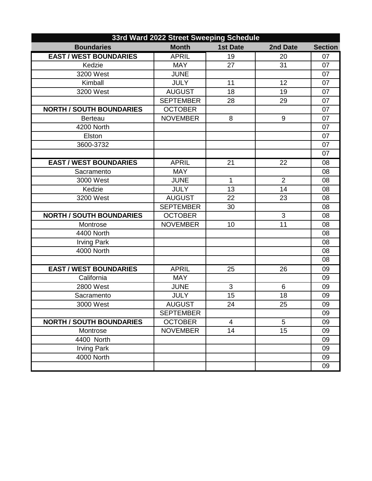| 33rd Ward 2022 Street Sweeping Schedule |                  |                 |                |                |
|-----------------------------------------|------------------|-----------------|----------------|----------------|
| <b>Boundaries</b>                       | <b>Month</b>     | <b>1st Date</b> | 2nd Date       | <b>Section</b> |
| <b>EAST / WEST BOUNDARIES</b>           | <b>APRIL</b>     | 19              | 20             | 07             |
| Kedzie                                  | <b>MAY</b>       | 27              | 31             | 07             |
| 3200 West                               | <b>JUNE</b>      |                 |                | 07             |
| Kimball                                 | <b>JULY</b>      | 11              | 12             | 07             |
| 3200 West                               | <b>AUGUST</b>    | 18              | 19             | 07             |
|                                         | <b>SEPTEMBER</b> | 28              | 29             | 07             |
| <b>NORTH / SOUTH BOUNDARIES</b>         | <b>OCTOBER</b>   |                 |                | 07             |
| <b>Berteau</b>                          | <b>NOVEMBER</b>  | 8               | 9              | 07             |
| 4200 North                              |                  |                 |                | 07             |
| Elston                                  |                  |                 |                | 07             |
| 3600-3732                               |                  |                 |                | 07             |
|                                         |                  |                 |                | 07             |
| <b>EAST / WEST BOUNDARIES</b>           | <b>APRIL</b>     | 21              | 22             | 08             |
| Sacramento                              | <b>MAY</b>       |                 |                | 08             |
| 3000 West                               | <b>JUNE</b>      | 1               | $\overline{2}$ | 08             |
| Kedzie                                  | <b>JULY</b>      | 13              | 14             | 08             |
| 3200 West                               | <b>AUGUST</b>    | 22              | 23             | 08             |
|                                         | <b>SEPTEMBER</b> | 30              |                | 08             |
| <b>NORTH / SOUTH BOUNDARIES</b>         | <b>OCTOBER</b>   |                 | 3              | 08             |
| Montrose                                | <b>NOVEMBER</b>  | 10              | 11             | 08             |
| 4400 North                              |                  |                 |                | 08             |
| <b>Irving Park</b>                      |                  |                 |                | 08             |
| 4000 North                              |                  |                 |                | 08             |
|                                         |                  |                 |                | 08             |
| <b>EAST / WEST BOUNDARIES</b>           | <b>APRIL</b>     | 25              | 26             | 09             |
| California                              | <b>MAY</b>       |                 |                | 09             |
| 2800 West                               | <b>JUNE</b>      | 3               | 6              | 09             |
| Sacramento                              | <b>JULY</b>      | 15              | 18             | 09             |
| 3000 West                               | <b>AUGUST</b>    | 24              | 25             | 09             |
|                                         | <b>SEPTEMBER</b> |                 |                | 09             |
| <b>NORTH / SOUTH BOUNDARIES</b>         | <b>OCTOBER</b>   | 4               | $\sqrt{5}$     | 09             |
| Montrose                                | <b>NOVEMBER</b>  | 14              | 15             | 09             |
| 4400 North                              |                  |                 |                | 09             |
| <b>Irving Park</b>                      |                  |                 |                | 09             |
| 4000 North                              |                  |                 |                | 09             |
|                                         |                  |                 |                | 09             |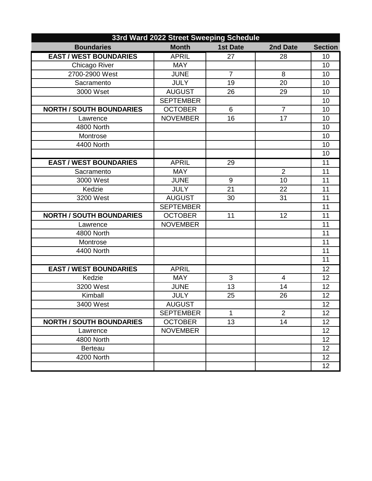| 33rd Ward 2022 Street Sweeping Schedule |                  |                 |                |                 |
|-----------------------------------------|------------------|-----------------|----------------|-----------------|
| <b>Boundaries</b>                       | <b>Month</b>     | <b>1st Date</b> | 2nd Date       | <b>Section</b>  |
| <b>EAST / WEST BOUNDARIES</b>           | <b>APRIL</b>     | 27              | 28             | 10              |
| Chicago River                           | <b>MAY</b>       |                 |                | 10              |
| 2700-2900 West                          | <b>JUNE</b>      | $\overline{7}$  | 8              | 10              |
| Sacramento                              | <b>JULY</b>      | 19              | 20             | 10              |
| 3000 Wset                               | <b>AUGUST</b>    | 26              | 29             | 10              |
|                                         | <b>SEPTEMBER</b> |                 |                | 10              |
| <b>NORTH / SOUTH BOUNDARIES</b>         | <b>OCTOBER</b>   | 6               | $\overline{7}$ | 10              |
| Lawrence                                | <b>NOVEMBER</b>  | 16              | 17             | 10              |
| 4800 North                              |                  |                 |                | 10              |
| Montrose                                |                  |                 |                | 10              |
| 4400 North                              |                  |                 |                | 10              |
|                                         |                  |                 |                | 10              |
| <b>EAST / WEST BOUNDARIES</b>           | <b>APRIL</b>     | 29              |                | 11              |
| Sacramento                              | <b>MAY</b>       |                 | $\overline{2}$ | 11              |
| 3000 West                               | <b>JUNE</b>      | 9               | 10             | 11              |
| Kedzie                                  | <b>JULY</b>      | 21              | 22             | 11              |
| 3200 West                               | <b>AUGUST</b>    | 30              | 31             | 11              |
|                                         | <b>SEPTEMBER</b> |                 |                | 11              |
| <b>NORTH / SOUTH BOUNDARIES</b>         | <b>OCTOBER</b>   | 11              | 12             | $\overline{11}$ |
| Lawrence                                | <b>NOVEMBER</b>  |                 |                | 11              |
| 4800 North                              |                  |                 |                | 11              |
| Montrose                                |                  |                 |                | 11              |
| 4400 North                              |                  |                 |                | 11              |
|                                         |                  |                 |                | 11              |
| <b>EAST / WEST BOUNDARIES</b>           | <b>APRIL</b>     |                 |                | 12              |
| Kedzie                                  | <b>MAY</b>       | 3               | 4              | 12              |
| 3200 West                               | <b>JUNE</b>      | 13              | 14             | 12              |
| Kimball                                 | <b>JULY</b>      | 25              | 26             | 12              |
| 3400 West                               | <b>AUGUST</b>    |                 |                | 12              |
|                                         | <b>SEPTEMBER</b> | $\mathbf{1}$    | $\overline{2}$ | 12              |
| <b>NORTH / SOUTH BOUNDARIES</b>         | <b>OCTOBER</b>   | 13              | 14             | 12              |
| Lawrence                                | <b>NOVEMBER</b>  |                 |                | 12              |
| 4800 North                              |                  |                 |                | 12              |
| <b>Berteau</b>                          |                  |                 |                | 12              |
| 4200 North                              |                  |                 |                | 12              |
|                                         |                  |                 |                | 12              |